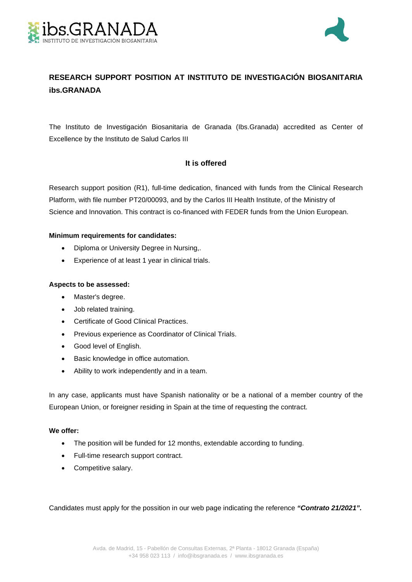



# **RESEARCH SUPPORT POSITION AT INSTITUTO DE INVESTIGACIÓN BIOSANITARIA ibs.GRANADA**

The Instituto de Investigación Biosanitaria de Granada (Ibs.Granada) accredited as Center of Excellence by the Instituto de Salud Carlos III

## **It is offered**

Research support position (R1), full-time dedication, financed with funds from the Clinical Research Platform, with file number PT20/00093, and by the Carlos III Health Institute, of the Ministry of Science and Innovation. This contract is co-financed with FEDER funds from the Union European.

### **Minimum requirements for candidates:**

- Diploma or University Degree in Nursing,.
- Experience of at least 1 year in clinical trials.

### **Aspects to be assessed:**

- Master's degree.
- Job related training.
- Certificate of Good Clinical Practices.
- Previous experience as Coordinator of Clinical Trials.
- Good level of English.
- **•** Basic knowledge in office automation.
- Ability to work independently and in a team.

In any case, applicants must have Spanish nationality or be a national of a member country of the European Union, or foreigner residing in Spain at the time of requesting the contract.

### **We offer:**

- The position will be funded for 12 months, extendable according to funding.
- Full-time research support contract.
- Competitive salary.

Candidates must apply for the possition in our web page indicating the reference *"Contrato 21/2021".*